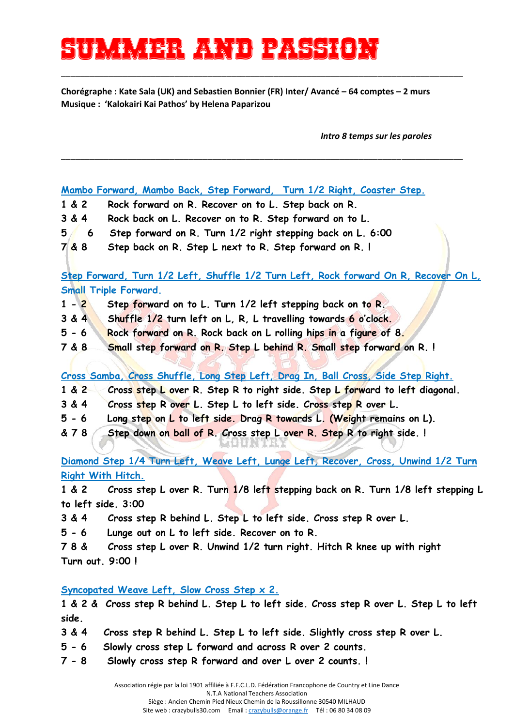## **Summer and passion**

**Chorégraphe : Kate Sala (UK) and Sebastien Bonnier (FR) Inter/ Avancé – 64 comptes – 2 murs Musique : 'Kalokairi Kai Pathos' by Helena Paparizou**

\_\_\_\_\_\_\_\_\_\_\_\_\_\_\_\_\_\_\_\_\_\_\_\_\_\_\_\_\_\_\_\_\_\_\_\_\_\_\_\_\_\_\_\_\_\_\_\_\_\_\_\_\_\_\_\_\_\_\_\_\_\_\_\_\_\_\_\_\_\_\_\_\_\_\_\_\_\_\_\_\_\_\_\_\_

\_\_\_\_\_\_\_\_\_\_\_\_\_\_\_\_\_\_\_\_\_\_\_\_\_\_\_\_\_\_\_\_\_\_\_\_\_\_\_\_\_\_\_\_\_\_\_\_\_\_\_\_\_\_\_\_\_\_\_\_\_\_\_\_\_\_\_\_\_\_\_\_\_\_\_\_\_\_\_\_\_\_\_\_\_

*Intro 8 temps sur les paroles*

**Mambo Forward, Mambo Back, Step Forward, Turn 1/2 Right, Coaster Step.**

- **1 & 2 Rock forward on R. Recover on to L. Step back on R.**
- **3 & 4 Rock back on L. Recover on to R. Step forward on to L.**
- **5 6 Step forward on R. Turn 1/2 right stepping back on L. 6:00**
- **7 & 8 Step back on R. Step L next to R. Step forward on R. !**

**Step Forward, Turn 1/2 Left, Shuffle 1/2 Turn Left, Rock forward On R, Recover On L, Small Triple Forward.**

- **1 - 2 Step forward on to L. Turn 1/2 left stepping back on to R.**
- **3 & 4 Shuffle 1/2 turn left on L, R, L travelling towards 6 o'clock.**
- **5 - 6 Rock forward on R. Rock back on L rolling hips in a figure of 8.**
- **7 & 8 Small step forward on R. Step L behind R. Small step forward on R. !**

**Cross Samba, Cross Shuffle, Long Step Left, Drag In, Ball Cross, Side Step Right.**

- **1 & 2 Cross step L over R. Step R to right side. Step L forward to left diagonal.**
- **3 & 4 Cross step R over L. Step L to left side. Cross step R over L.**
- **5 - 6 Long step on L to left side. Drag R towards L. (Weight remains on L).**
- **& 7 8 Step down on ball of R. Cross step L over R. Step R to right side. !**

**Diamond Step 1/4 Turn Left, Weave Left, Lunge Left, Recover, Cross, Unwind 1/2 Turn Right With Hitch.**

**1 & 2 Cross step L over R. Turn 1/8 left stepping back on R. Turn 1/8 left stepping L to left side. 3:00** 

**3 & 4 Cross step R behind L. Step L to left side. Cross step R over L.** 

**5 - 6 Lunge out on L to left side. Recover on to R.** 

**7 8 & Cross step L over R. Unwind 1/2 turn right. Hitch R knee up with right Turn out. 9:00 !** 

**Syncopated Weave Left, Slow Cross Step x 2.** 

**1 & 2 & Cross step R behind L. Step L to left side. Cross step R over L. Step L to left side.** 

- **3 & 4 Cross step R behind L. Step L to left side. Slightly cross step R over L.**
- **5 - 6 Slowly cross step L forward and across R over 2 counts.**
- **7 - 8 Slowly cross step R forward and over L over 2 counts. !**